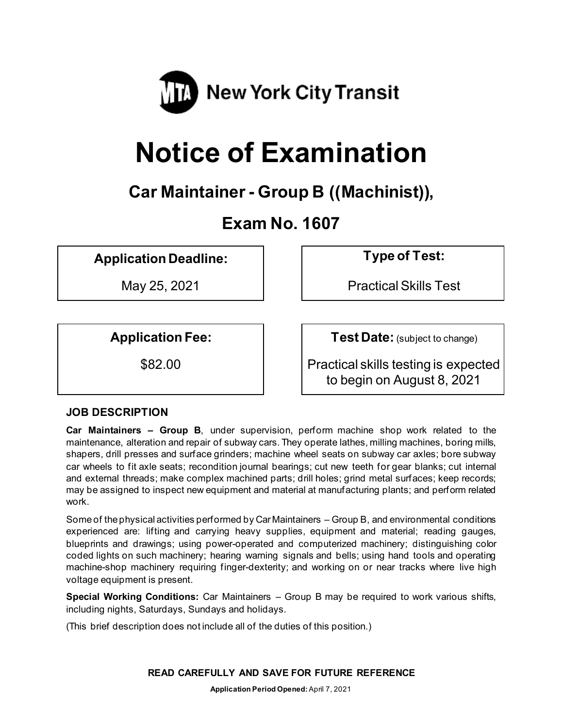

# **Notice of Examination**

# **Car Maintainer - Group B ((Machinist)),**

# **Exam No. 1607**

**Application Deadline: Type of Test:** 

May 25, 2021 **Practical Skills Test** 

**Application Fee:**  $\vert$  **Test Date:** (subject to change)

\$82.00 Practical skills testing is expected to begin on August 8, 2021

# **JOB DESCRIPTION**

**Car Maintainers – Group B**, under supervision, perform machine shop work related to the maintenance, alteration and repair of subway cars. They operate lathes, milling machines, boring mills, shapers, drill presses and surface grinders; machine wheel seats on subway car axles; bore subway car wheels to fit axle seats; recondition journal bearings; cut new teeth for gear blanks; cut internal and external threads; make complex machined parts; drill holes; grind metal surfaces; keep records; may be assigned to inspect new equipment and material at manufacturing plants; and perform related work.

Some of the physical activities performed by Car Maintainers – Group B, and environmental conditions experienced are: lifting and carrying heavy supplies, equipment and material; reading gauges, blueprints and drawings; using power-operated and computerized machinery; distinguishing color coded lights on such machinery; hearing warning signals and bells; using hand tools and operating machine-shop machinery requiring finger-dexterity; and working on or near tracks where live high voltage equipment is present.

**Special Working Conditions:** Car Maintainers – Group B may be required to work various shifts, including nights, Saturdays, Sundays and holidays.

(This brief description does not include all of the duties of this position.)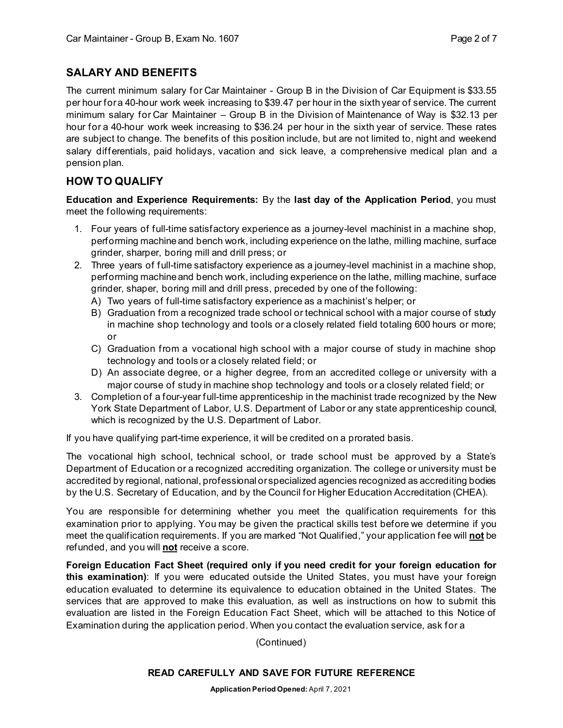# **SALARY AND BENEFITS**

The current minimum salary for Car Maintainer - Group B in the Division of Car Equipment is \$33.55 per hour for a 40-hour work week increasing to \$39.47 per hour in the sixth year of service. The current minimum salary for Car Maintainer – Group B in the Division of Maintenance of Way is \$32.13 per hour for a 40-hour work week increasing to \$36.24 per hour in the sixth year of service. These rates are subject to change. The benefits of this position include, but are not limited to, night and weekend salary differentials, paid holidays, vacation and sick leave, a comprehensive medical plan and a pension plan.

# **HOW TO QUALIFY**

**Education and Experience Requirements:** By the **last day of the Application Period**, you must meet the following requirements:

- 1. Four years of full-time satisfactory experience as a journey-level machinist in a machine shop, performing machine and bench work, including experience on the lathe, milling machine, surface grinder, sharper, boring mill and drill press; or
- 2. Three years of full-time satisfactory experience as a journey-level machinist in a machine shop, performing machine and bench work, including experience on the lathe, milling machine, surface grinder, shaper, boring mill and drill press, preceded by one of the following:
	- A) Two years of full-time satisfactory experience as a machinist's helper; or
	- B) Graduation from a recognized trade school or technical school with a major course of study in machine shop technology and tools or a closely related field totaling 600 hours or more; or
	- C) Graduation from a vocational high school with a major course of study in machine shop technology and tools or a closely related field; or
	- D) An associate degree, or a higher degree, from an accredited college or university with a major course of study in machine shop technology and tools or a closely related field; or
- 3. Completion of a four-year full-time apprenticeship in the machinist trade recognized by the New York State Department of Labor, U.S. Department of Labor or any state apprenticeship council, which is recognized by the U.S. Department of Labor.

If you have qualifying part-time experience, it will be credited on a prorated basis.

The vocational high school, technical school, or trade school must be approved by a State's Department of Education or a recognized accrediting organization. The college or university must be accredited by regional, national, professional or specialized agencies recognized as accrediting bodies by the U.S. Secretary of Education, and by the Council for Higher Education Accreditation (CHEA).

You are responsible for determining whether you meet the qualification requirements for this examination prior to applying. You may be given the practical skills test before we determine if you meet the qualification requirements. If you are marked "Not Qualified," your application fee will **not** be refunded, and you will **not** receive a score.

**Foreign Education Fact Sheet (required only if you need credit for your foreign education for this examination)**: If you were educated outside the United States, you must have your foreign education evaluated to determine its equivalence to education obtained in the United States. The services that are approved to make this evaluation, as well as instructions on how to submit this evaluation are listed in the Foreign Education Fact Sheet, which will be attached to this Notice of Examination during the application period. When you contact the evaluation service, ask for a

#### (Continued)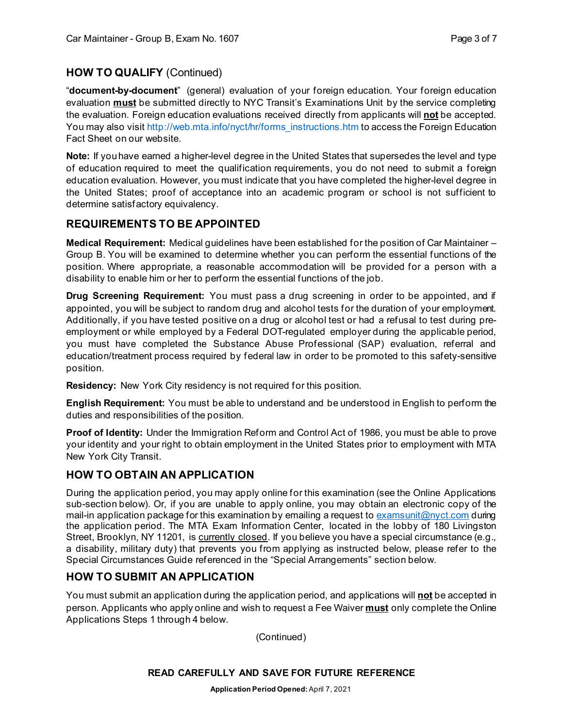# **HOW TO QUALIFY** (Continued)

"**document-by-document**" (general) evaluation of your foreign education. Your foreign education evaluation **must** be submitted directly to NYC Transit's Examinations Unit by the service completing the evaluation. Foreign education evaluations received directly from applicants will **not** be accepted. You may also visi[t http://web.mta.info/nyct/hr/forms\\_instructions.htm](http://web.mta.info/nyct/hr/forms_instructions.htm) to access the Foreign Education Fact Sheet on our website.

**Note:** If you have earned a higher-level degree in the United States that supersedes the level and type of education required to meet the qualification requirements, you do not need to submit a foreign education evaluation. However, you must indicate that you have completed the higher-level degree in the United States; proof of acceptance into an academic program or school is not sufficient to determine satisfactory equivalency.

# **REQUIREMENTS TO BE APPOINTED**

**Medical Requirement:** Medical guidelines have been established for the position of Car Maintainer – Group B. You will be examined to determine whether you can perform the essential functions of the position. Where appropriate, a reasonable accommodation will be provided for a person with a disability to enable him or her to perform the essential functions of the job.

**Drug Screening Requirement:** You must pass a drug screening in order to be appointed, and if appointed, you will be subject to random drug and alcohol tests for the duration of your employment. Additionally, if you have tested positive on a drug or alcohol test or had a refusal to test during preemployment or while employed by a Federal DOT-regulated employer during the applicable period, you must have completed the Substance Abuse Professional (SAP) evaluation, referral and education/treatment process required by federal law in order to be promoted to this safety-sensitive position.

**Residency:** New York City residency is not required for this position.

**English Requirement:** You must be able to understand and be understood in English to perform the duties and responsibilities of the position.

**Proof of Identity:** Under the Immigration Reform and Control Act of 1986, you must be able to prove your identity and your right to obtain employment in the United States prior to employment with MTA New York City Transit.

# **HOW TO OBTAIN AN APPLICATION**

During the application period, you may apply online for this examination (see the Online Applications sub-section below). Or, if you are unable to apply online, you may obtain an electronic copy of the mail-in application package for this examination by emailing a request to [examsunit@nyct.com](mailto:examsunit@nyct.com) during the application period. The MTA Exam Information Center, located in the lobby of 180 Livingston Street, Brooklyn, NY 11201, is currently closed. If you believe you have a special circumstance (e.g., a disability, military duty) that prevents you from applying as instructed below, please refer to the Special Circumstances Guide referenced in the "Special Arrangements" section below.

# **HOW TO SUBMIT AN APPLICATION**

You must submit an application during the application period, and applications will **not** be accepted in person. Applicants who apply online and wish to request a Fee Waiver **must** only complete the Online Applications Steps 1 through 4 below.

(Continued)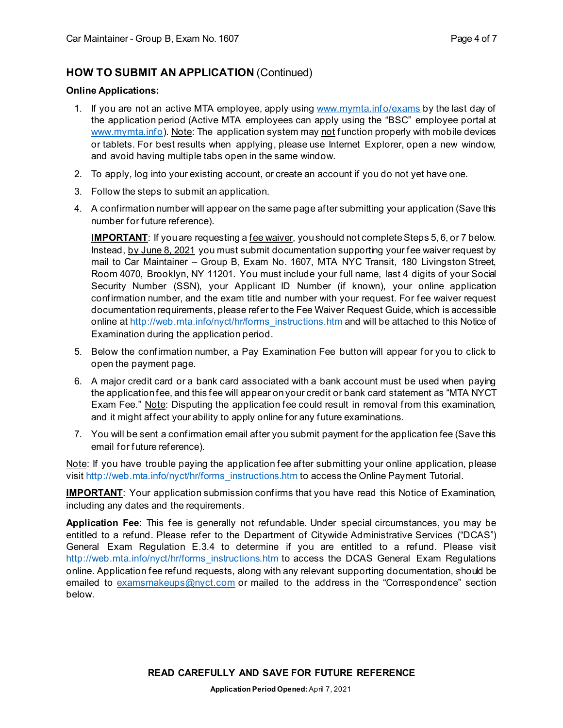# **HOW TO SUBMIT AN APPLICATION** (Continued)

#### **Online Applications:**

- 1. If you are not an active MTA employee, apply using [www.mymta.info/exams](http://www.mymta.info/exams) by the last day of the application period (Active MTA employees can apply using the "BSC" employee portal at [www.mymta.info\)](http://www.mymta.info/). Note: The application system may not function properly with mobile devices or tablets. For best results when applying, please use Internet Explorer, open a new window, and avoid having multiple tabs open in the same window.
- 2. To apply, log into your existing account, or create an account if you do not yet have one.
- 3. Follow the steps to submit an application.
- 4. A confirmation number will appear on the same page after submitting your application (Save this number for future reference).

**IMPORTANT**: If you are requesting a <u>fee waiver</u>, you should not complete Steps 5, 6, or 7 below. Instead, by June 8, 2021 you must submit documentation supporting your fee waiver request by mail to Car Maintainer – Group B, Exam No. 1607, MTA NYC Transit, 180 Livingston Street, Room 4070, Brooklyn, NY 11201. You must include your full name, last 4 digits of your Social Security Number (SSN), your Applicant ID Number (if known), your online application confirmation number, and the exam title and number with your request. For fee waiver request documentation requirements, please refer to the Fee Waiver Request Guide, which is accessible online at [http://web.mta.info/nyct/hr/forms\\_instructions.htm](http://web.mta.info/nyct/hr/forms_instructions.htm) and will be attached to this Notice of Examination during the application period.

- 5. Below the confirmation number, a Pay Examination Fee button will appear for you to click to open the payment page.
- 6. A major credit card or a bank card associated with a bank account must be used when paying the application fee, and this fee will appear on your credit or bank card statement as "MTA NYCT Exam Fee." Note: Disputing the application fee could result in removal from this examination, and it might affect your ability to apply online for any future examinations.
- 7. You will be sent a confirmation email after you submit payment for the application fee (Save this email for future reference).

Note: If you have trouble paying the application fee after submitting your online application, please visit [http://web.mta.info/nyct/hr/forms\\_instructions.htm](http://web.mta.info/nyct/hr/forms_instructions.htm) to access the Online Payment Tutorial.

**IMPORTANT**: Your application submission confirms that you have read this Notice of Examination, including any dates and the requirements.

**Application Fee**: This fee is generally not refundable. Under special circumstances, you may be entitled to a refund. Please refer to the Department of Citywide Administrative Services ("DCAS") General Exam Regulation E.3.4 to determine if you are entitled to a refund. Please visit [http://web.mta.info/nyct/hr/forms\\_instructions.htm](http://web.mta.info/nyct/hr/forms_instructions.htm) to access the DCAS General Exam Regulations online. Application fee refund requests, along with any relevant supporting documentation, should be emailed to [examsmakeups@nyct.com](mailto:examsmakeups@nyct.com) or mailed to the address in the "Correspondence" section below.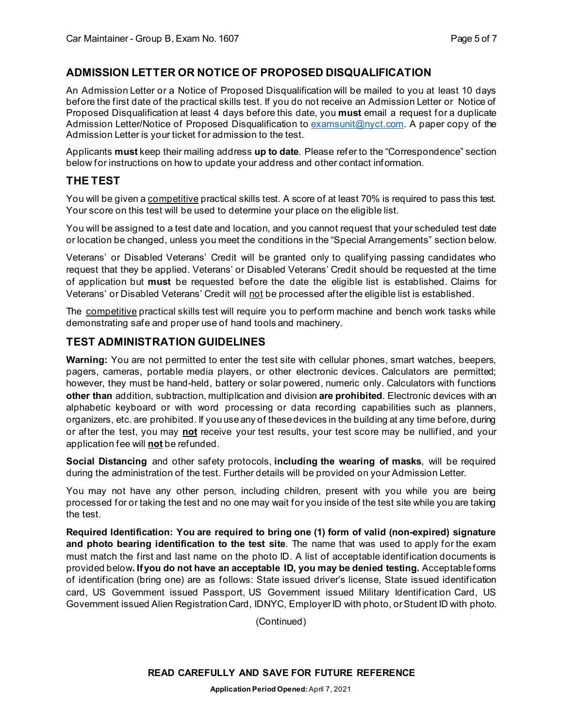# **ADMISSION LETTER OR NOTICE OF PROPOSED DISQUALIFICATION**

An Admission Letter or a Notice of Proposed Disqualification will be mailed to you at least 10 days before the first date of the practical skills test. If you do not receive an Admission Letter or Notice of Proposed Disqualification at least 4 days before this date, you **must** email a request for a duplicate Admission Letter/Notice of Proposed Disqualification to [examsunit@nyct.com](mailto:examsunit@nyct.com). A paper copy of the Admission Letter is your ticket for admission to the test.

Applicants **must** keep their mailing address **up to date**. Please refer to the "Correspondence" section below for instructions on how to update your address and other contact information.

#### **THE TEST**

You will be given a competitive practical skills test. A score of at least 70% is required to pass this test. Your score on this test will be used to determine your place on the eligible list.

You will be assigned to a test date and location, and you cannot request that your scheduled test date or location be changed, unless you meet the conditions in the "Special Arrangements" section below.

Veterans' or Disabled Veterans' Credit will be granted only to qualifying passing candidates who request that they be applied. Veterans' or Disabled Veterans' Credit should be requested at the time of application but **must** be requested before the date the eligible list is established. Claims for Veterans' or Disabled Veterans' Credit will not be processed after the eligible list is established.

The competitive practical skills test will require you to perform machine and bench work tasks while demonstrating safe and proper use of hand tools and machinery.

# **TEST ADMINISTRATION GUIDELINES**

**Warning:** You are not permitted to enter the test site with cellular phones, smart watches, beepers, pagers, cameras, portable media players, or other electronic devices. Calculators are permitted; however, they must be hand-held, battery or solar powered, numeric only. Calculators with functions **other than** addition, subtraction, multiplication and division **are prohibited**. Electronic devices with an alphabetic keyboard or with word processing or data recording capabilities such as planners, organizers, etc. are prohibited. If you use any of these devices in the building at any time before, during or after the test, you may **not** receive your test results, your test score may be nullified, and your application fee will **not** be refunded.

**Social Distancing** and other safety protocols, **including the wearing of masks**, will be required during the administration of the test. Further details will be provided on your Admission Letter.

You may not have any other person, including children, present with you while you are being processed for or taking the test and no one may wait for you inside of the test site while you are taking the test.

**Required Identification: You are required to bring one (1) form of valid (non-expired) signature and photo bearing identification to the test site**. The name that was used to apply for the exam must match the first and last name on the photo ID. A list of acceptable identification documents is provided below**. If you do not have an acceptable ID, you may be denied testing.** Acceptable forms of identification (bring one) are as follows: State issued driver's license, State issued identification card, US Government issued Passport, US Government issued Military Identification Card, US Government issued Alien Registration Card, IDNYC, Employer ID with photo, or Student ID with photo.

(Continued)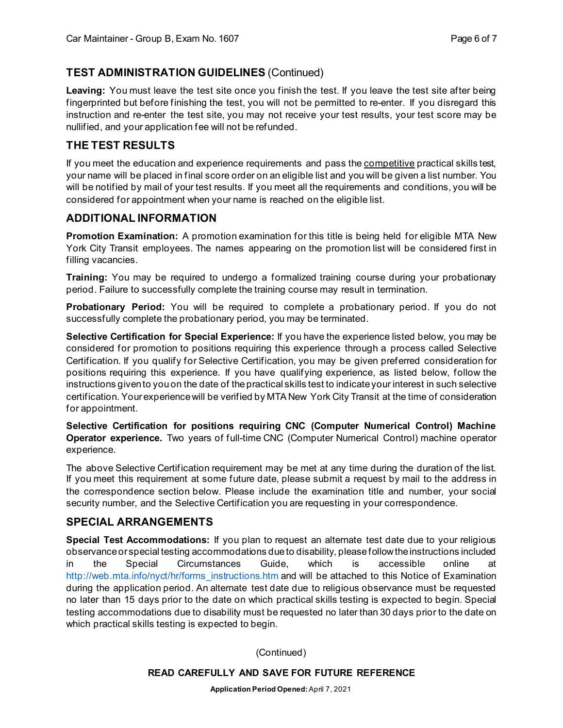# **TEST ADMINISTRATION GUIDELINES** (Continued)

**Leaving:** You must leave the test site once you finish the test. If you leave the test site after being fingerprinted but before finishing the test, you will not be permitted to re-enter. If you disregard this instruction and re-enter the test site, you may not receive your test results, your test score may be nullified, and your application fee will not be refunded.

# **THE TEST RESULTS**

If you meet the education and experience requirements and pass the competitive practical skills test, your name will be placed in final score order on an eligible list and you will be given a list number. You will be notified by mail of your test results. If you meet all the requirements and conditions, you will be considered for appointment when your name is reached on the eligible list.

# **ADDITIONAL INFORMATION**

**Promotion Examination:** A promotion examination for this title is being held for eligible MTA New York City Transit employees. The names appearing on the promotion list will be considered first in filling vacancies.

**Training:** You may be required to undergo a formalized training course during your probationary period. Failure to successfully complete the training course may result in termination.

**Probationary Period:** You will be required to complete a probationary period. If you do not successfully complete the probationary period, you may be terminated.

**Selective Certification for Special Experience:** If you have the experience listed below, you may be considered for promotion to positions requiring this experience through a process called Selective Certification. If you qualify for Selective Certification, you may be given preferred consideration for positions requiring this experience. If you have qualifying experience, as listed below, follow the instructions given to you on the date of the practical skills test to indicate your interest in such selective certification. Your experience will be verified by MTA New York City Transit at the time of consideration for appointment.

**Selective Certification for positions requiring CNC (Computer Numerical Control) Machine Operator experience.** Two years of full-time CNC (Computer Numerical Control) machine operator experience.

The above Selective Certification requirement may be met at any time during the duration of the list. If you meet this requirement at some future date, please submit a request by mail to the address in the correspondence section below. Please include the examination title and number, your social security number, and the Selective Certification you are requesting in your correspondence.

# **SPECIAL ARRANGEMENTS**

**Special Test Accommodations:** If you plan to request an alternate test date due to your religious observance or special testing accommodations due to disability, please follow the instructions included in the Special Circumstances Guide, which is accessible online at [http://web.mta.info/nyct/hr/forms\\_instructions.htm](http://web.mta.info/nyct/hr/forms_instructions.htm) and will be attached to this Notice of Examination during the application period. An alternate test date due to religious observance must be requested no later than 15 days prior to the date on which practical skills testing is expected to begin. Special testing accommodations due to disability must be requested no later than 30 days prior to the date on which practical skills testing is expected to begin.

(Continued)